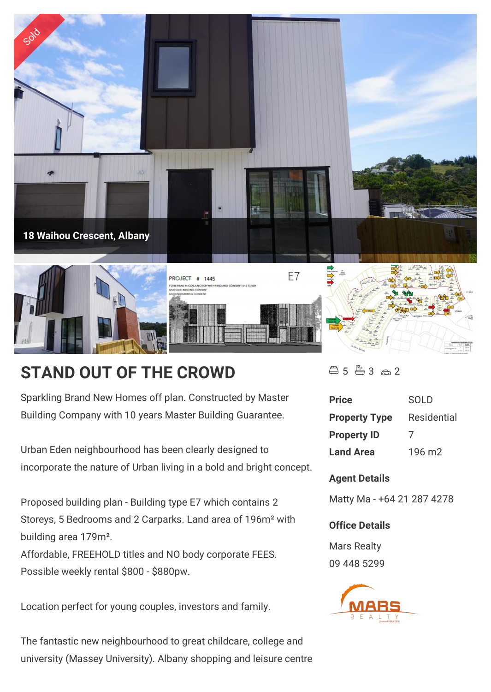

## **STAND OUT OF THE CROWD**

Sparkling Brand New Homes off plan. Constructed by Master Building Company with 10 years Master Building Guarantee.

Urban Eden neighbourhood has been clearly designed to incorporate the nature of Urban living in a bold and bright concept.

Proposed building plan - Building type E7 which contains 2 Storeys, 5 Bedrooms and 2 Carparks. Land area of 196m<sup>2</sup> with building area 179m².

Affordable, FREEHOLD titles and NO body corporate FEES. Possible weekly rental \$800 - \$880pw.

Location perfect for young couples, investors and family.

The fantastic new neighbourhood to great childcare, college and university (Massey University). Albany shopping and leisure centre  $45 - 3 - 2$ 

| <b>Price</b>         | SOL D              |
|----------------------|--------------------|
| <b>Property Type</b> | <b>Residential</b> |
| <b>Property ID</b>   | $\prime$           |
| <b>Land Area</b>     | $196 \text{ m}$    |

## **Agent Details**

Matty Ma - +64 21 287 4278

## **Office Details**

Mars Realty 09 448 5299